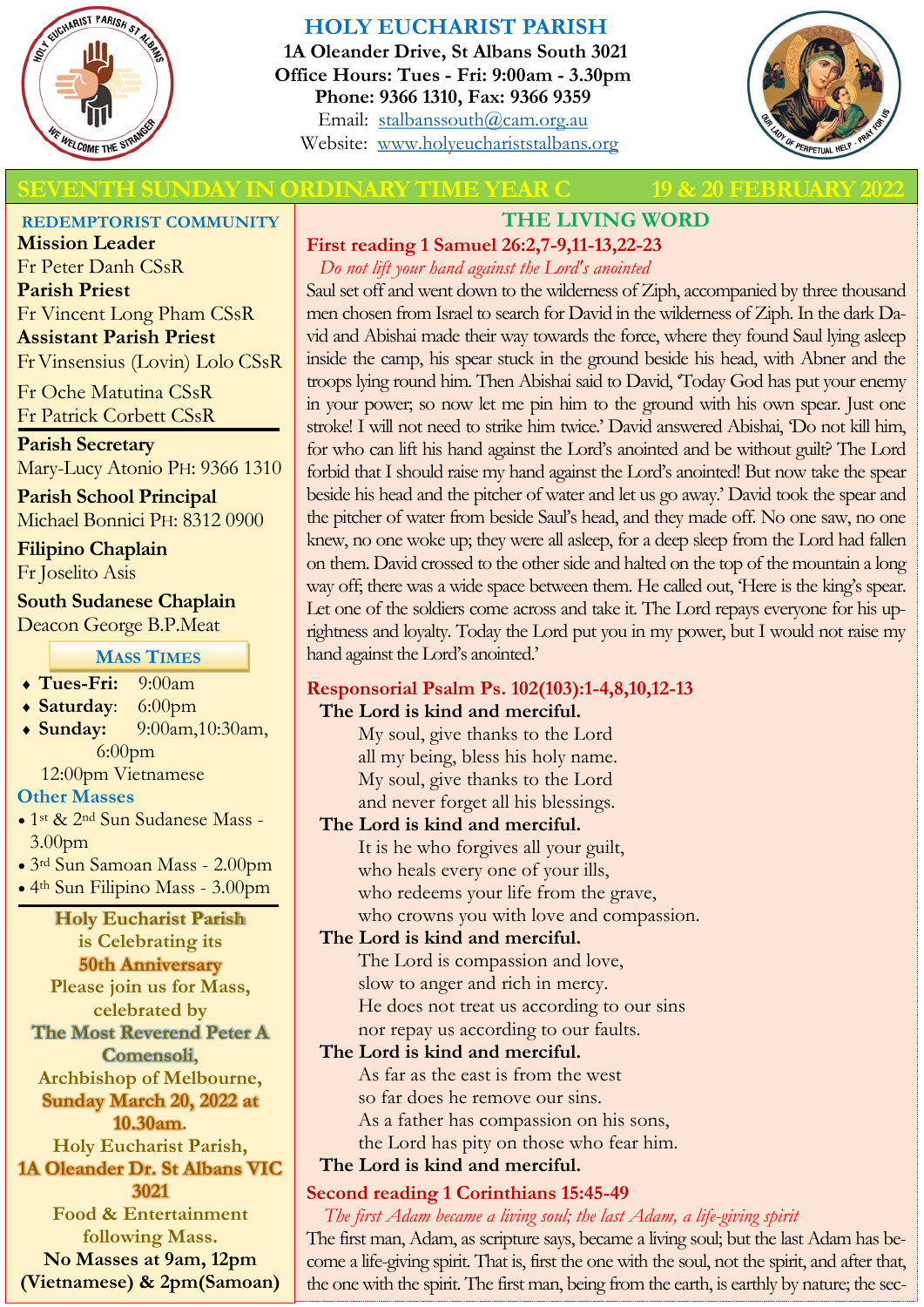

# **HOLY EUCHARIST PARISH**

**1A Oleander Drive, St Albans South 3021 Office Hours: Tues - Fri: 9:00am - 3.30pm Phone: 9366 1310, Fax: 9366 9359** Email: [stalbanssouth@cam.org.au](mailto:stalbanssouth@cam.org.au) Website:[www.holyeuchariststalbans.org](http://www.holyeuchariststalbans.org)



## **TH SUNDAY IN ORDINARY TIME YEAR C 19 & 20 FEBRUARY**

**REDEMPTORIST COMMUNITY**

**Mission Leader** Fr Peter Danh CSsR **Parish Priest** Fr Vincent Long Pham CSsR **Assistant Parish Priest**  Fr Vinsensius (Lovin) Lolo CSsR

Fr Oche Matutina CSsR Fr Patrick Corbett CSsR

**Parish Secretary** Mary-Lucy Atonio PH: 9366 1310

**Parish School Principal** Michael Bonnici PH: 8312 0900

**Filipino Chaplain** Fr Joselito Asis

**South Sudanese Chaplain** Deacon George B.P.Meat

**MASS TIMES**

- **Tues-Fri:** 9:00am
- **Saturday**: 6:00pm
- **Sunday:** 9:00am,10:30am, 6:00pm

12:00pm Vietnamese

#### **Other Masses**

- 1<sup>st</sup> & 2<sup>nd</sup> Sun Sudanese Mass -3.00pm
- 3rd Sun Samoan Mass 2.00pm
- 4th Sun Filipino Mass 3.00pm

#### **Holy Eucharist Parish**

**is Celebrating its 50th Anniversary Please join us for Mass, celebrated by** 

**The Most Reverend Peter A Comensoli,** 

**Archbishop of Melbourne, Sunday March 20, 2022 at** 

**10.30am.** 

**Holy Eucharist Parish, 1A Oleander Dr. St Albans VIC** 

**3021**

**Food & Entertainment following Mass.**

**No Masses at 9am, 12pm (Vietnamese) & 2pm(Samoan)**

# **THE LIVING WORD**

# **First reading 1 Samuel 26:2,7-9,11-13,22-23**

*Do not lift your hand against the Lord's anointed*

Saul set off and went down to the wilderness of Ziph, accompanied by three thousand men chosen from Israel to search for David in the wilderness of Ziph. In the dark David and Abishai made their way towards the force, where they found Saul lying asleep inside the camp, his spear stuck in the ground beside his head, with Abner and the troops lying round him. Then Abishai said to David, 'Today God has put your enemy in your power; so now let me pin him to the ground with his own spear. Just one stroke! I will not need to strike him twice.' David answered Abishai, 'Do not kill him, for who can lift his hand against the Lord's anointed and be without guilt? The Lord forbid that I should raise my hand against the Lord's anointed! But now take the spear beside his head and the pitcher of water and let us go away.' David took the spear and the pitcher of water from beside Saul's head, and they made off. No one saw, no one knew, no one woke up; they were all asleep, for a deep sleep from the Lord had fallen on them. David crossed to the other side and halted on the top of the mountain a long way off; there was a wide space between them. He called out, 'Here is the king's spear. Let one of the soldiers come across and take it. The Lord repays everyone for his uprightness and loyalty. Today the Lord put you in my power, but I would not raise my hand against the Lord's anointed.'

# **Responsorial Psalm Ps. 102(103):1-4,8,10,12-13**

## **The Lord is kind and merciful.**

My soul, give thanks to the Lord all my being, bless his holy name. My soul, give thanks to the Lord and never forget all his blessings.

## **The Lord is kind and merciful.**

It is he who forgives all your guilt, who heals every one of your ills, who redeems your life from the grave, who crowns you with love and compassion.

# **The Lord is kind and merciful.**

The Lord is compassion and love, slow to anger and rich in mercy. He does not treat us according to our sins nor repay us according to our faults.

## **The Lord is kind and merciful.**

As far as the east is from the west so far does he remove our sins. As a father has compassion on his sons, the Lord has pity on those who fear him.

# **The Lord is kind and merciful.**

# **Second reading 1 Corinthians 15:45-49**

*The first Adam became a living soul; the last Adam, a life-giving spirit*

The first man, Adam, as scripture says, became a living soul; but the last Adam has become a life-giving spirit. That is, first the one with the soul, not the spirit, and after that, the one with the spirit. The first man, being from the earth, is earthly by nature; the sec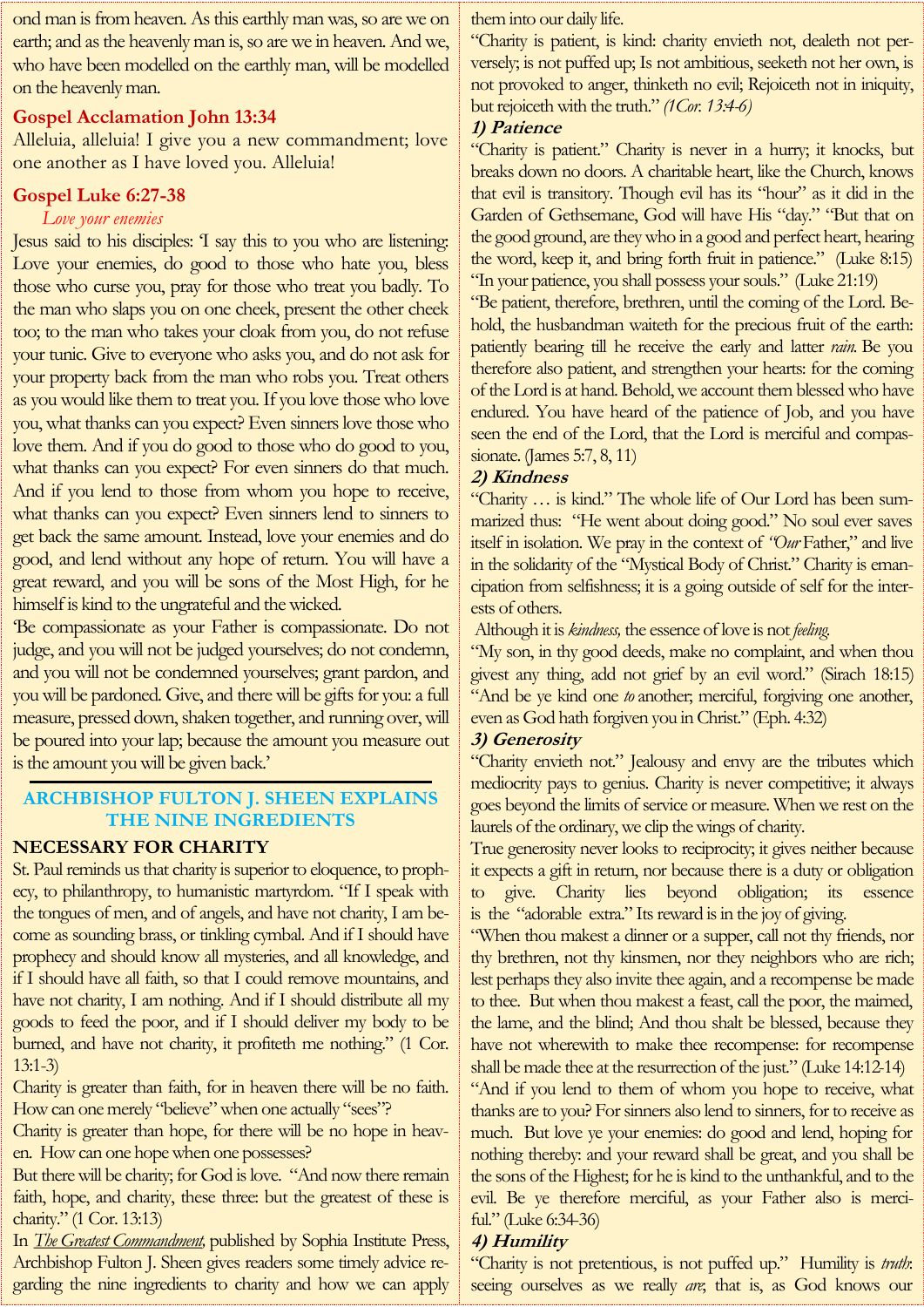ond man is from heaven. As this earthly man was, so are we on earth; and as the heavenly man is, so are we in heaven. And we, who have been modelled on the earthly man, will be modelled on the heavenly man.

#### **Gospel Acclamation John 13:34**

Alleluia, alleluia! I give you a new commandment; love one another as I have loved you. Alleluia!

#### **Gospel Luke 6:27-38**

#### *Love your enemies*

Jesus said to his disciples: 'I say this to you who are listening: Love your enemies, do good to those who hate you, bless those who curse you, pray for those who treat you badly. To the man who slaps you on one cheek, present the other cheek too; to the man who takes your cloak from you, do not refuse your tunic. Give to everyone who asks you, and do not ask for your property back from the man who robs you. Treat others as you would like them to treat you. If you love those who love you, what thanks can you expect? Even sinners love those who love them. And if you do good to those who do good to you, what thanks can you expect? For even sinners do that much. And if you lend to those from whom you hope to receive, what thanks can you expect? Even sinners lend to sinners to get back the same amount. Instead, love your enemies and do good, and lend without any hope of return. You will have a great reward, and you will be sons of the Most High, for he himself is kind to the ungrateful and the wicked.

'Be compassionate as your Father is compassionate. Do not judge, and you will not be judged yourselves; do not condemn, and you will not be condemned yourselves; grant pardon, and you will be pardoned. Give, and there will be gifts for you: a full measure, pressed down, shaken together, and running over, will be poured into your lap; because the amount you measure out is the amount you will be given back.'

#### **ARCHBISHOP FULTON J. SHEEN EXPLAINS THE NINE INGREDIENTS**

#### **NECESSARY FOR CHARITY**

St. Paul reminds us that charity is superior to eloquence, to prophecy, to philanthropy, to humanistic martyrdom. "If I speak with the tongues of men, and of angels, and have not charity, I am become as sounding brass, or tinkling cymbal. And if I should have prophecy and should know all mysteries, and all knowledge, and if I should have all faith, so that I could remove mountains, and have not charity, I am nothing. And if I should distribute all my goods to feed the poor, and if I should deliver my body to be burned, and have not charity, it profiteth me nothing." (1 Cor. 13:1-3)

Charity is greater than faith, for in heaven there will be no faith. How can one merely "believe" when one actually "sees"?

Charity is greater than hope, for there will be no hope in heaven. How can one hope when one possesses?

But there will be charity; for God is love. "And now there remain faith, hope, and charity, these three: but the greatest of these is charity." (1 Cor. 13:13)

In *[The Greatest Commandment,](https://www.sophiainstitute.com/products/item/the-greatest-commandment?utm_source=CEArticle&utm_medium=Smith+15Feb22&utm_campaign=Smith+15Feb22)* published by Sophia Institute Press, Archbishop Fulton J. Sheen gives readers some timely advice regarding the nine ingredients to charity and how we can apply

#### them into our daily life.

"Charity is patient, is kind: charity envieth not, dealeth not perversely; is not puffed up; Is not ambitious, seeketh not her own, is not provoked to anger, thinketh no evil; Rejoiceth not in iniquity, but rejoiceth with the truth." *(1Cor. 13:4-6)*

#### **1) Patience**

"Charity is patient." Charity is never in a hurry; it knocks, but breaks down no doors. A charitable heart, like the Church, knows that evil is transitory. Though evil has its "hour" as it did in the Garden of Gethsemane, God will have His "day." "But that on the good ground, are they who in a good and perfect heart, hearing the word, keep it, and bring forth fruit in patience." (Luke 8:15) "In your patience, you shall possess your souls." (Luke 21:19)

"Be patient, therefore, brethren, until the coming of the Lord. Behold, the husbandman waiteth for the precious fruit of the earth: patiently bearing till he receive the early and latter *rain.* Be you therefore also patient, and strengthen your hearts: for the coming of the Lord is at hand. Behold, we account them blessed who have endured. You have heard of the patience of Job, and you have seen the end of the Lord, that the Lord is merciful and compassionate. (James 5:7, 8, 11)

### **2) Kindness**

"Charity … is kind." The whole life of Our Lord has been summarized thus: "He went about doing good." No soul ever saves itself in isolation. We pray in the context of *"Our* Father," and live in the solidarity of the "Mystical Body of Christ." Charity is emancipation from selfishness; it is a going outside of self for the interests of others.

Although it is *kindness,* the essence of love is not *feeling.*

"My son, in thy good deeds, make no complaint, and when thou givest any thing, add not grief by an evil word." (Sirach 18:15) "And be ye kind one *to* another; merciful, forgiving one another, even as God hath forgiven you in Christ." (Eph. 4:32)

#### **3) Generosity**

"Charity envieth not." Jealousy and envy are the tributes which mediocrity pays to genius. Charity is never competitive; it always goes beyond the limits of service or measure. When we rest on the laurels of the ordinary, we clip the wings of charity.

True generosity never looks to reciprocity; it gives neither because it expects a gift in return, nor because there is a duty or obligation to give. Charity lies beyond obligation; its essence is the "adorable extra." Its reward is in the joy of giving.

"When thou makest a dinner or a supper, call not thy friends, nor thy brethren, not thy kinsmen, nor they neighbors who are rich; lest perhaps they also invite thee again, and a recompense be made to thee. But when thou makest a feast, call the poor, the maimed, the lame, and the blind; And thou shalt be blessed, because they have not wherewith to make thee recompense: for recompense shall be made thee at the resurrection of the just." (Luke 14:12-14)

"And if you lend to them of whom you hope to receive, what thanks are to you? For sinners also lend to sinners, for to receive as much. But love ye your enemies: do good and lend, hoping for nothing thereby: and your reward shall be great, and you shall be the sons of the Highest; for he is kind to the unthankful, and to the evil. Be ye therefore merciful, as your Father also is merciful." (Luke 6:34-36)

#### **4) Humility**

"Charity is not pretentious, is not puffed up." Humility is *truth*: seeing ourselves as we really *are*; that is, as God knows our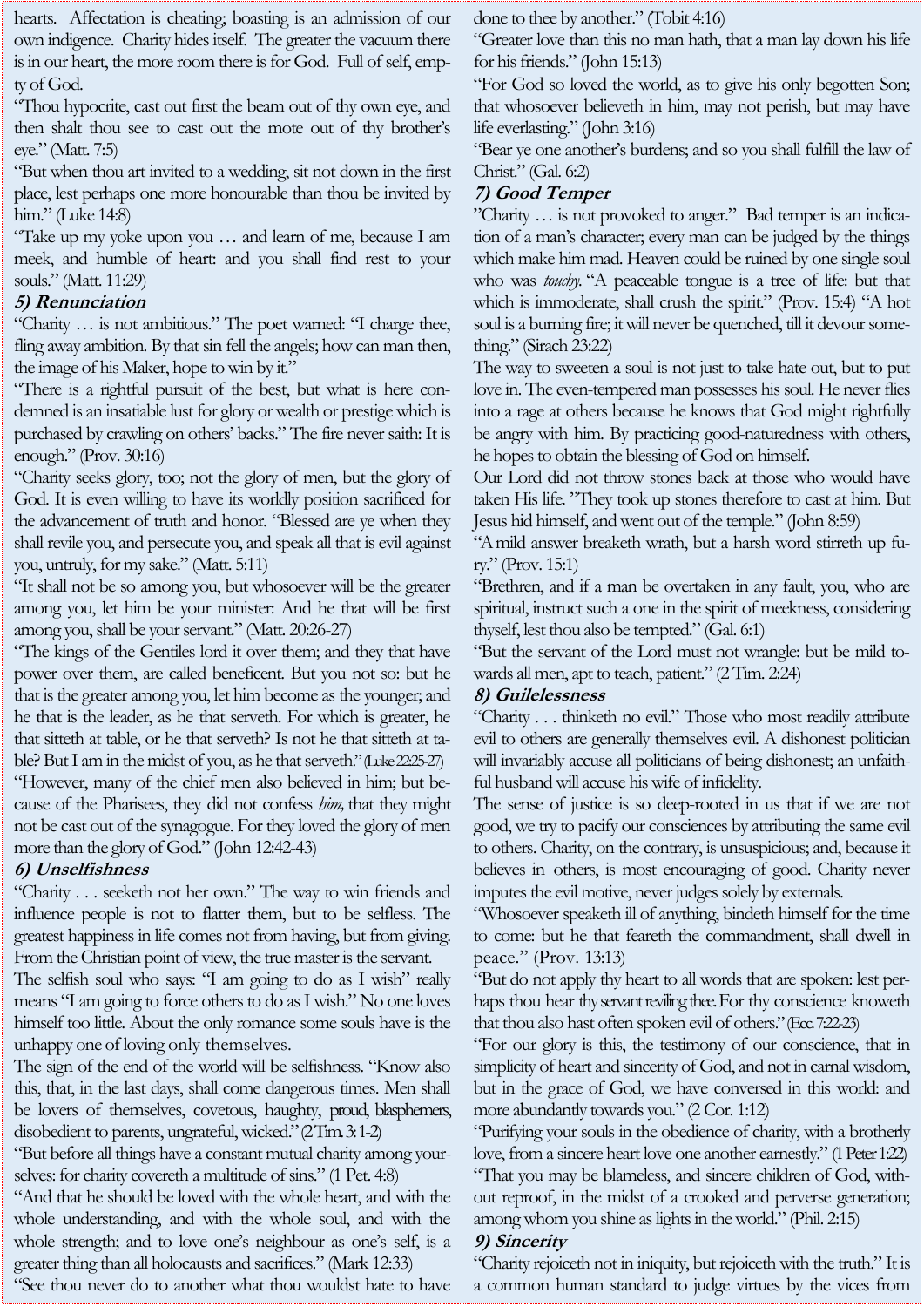| hearts. Affectation is cheating; boasting is an admission of our          | done to thee by another." (Tobit 4:16)                                  |
|---------------------------------------------------------------------------|-------------------------------------------------------------------------|
| own indigence. Charity hides itself. The greater the vacuum there         | "Greater love than this no man hath, that a man lay down his life       |
| is in our heart, the more room there is for God. Full of self, emp-       | for his friends." (John 15:13)                                          |
| ty of God.                                                                | "For God so loved the world, as to give his only begotten Son;          |
| "Thou hypocrite, cast out first the beam out of thy own eye, and          | that whosoever believeth in him, may not pensh, but may have            |
| then shalt thou see to cast out the mote out of thy brother's             | life everlasting." (John 3:16)                                          |
| eye." (Matt. 7:5)                                                         | "Bear ye one another's burdens; and so you shall fulfill the law of     |
| "But when thou art invited to a wedding, sit not down in the first        | Christ." (Gal. 6:2)                                                     |
| place, lest perhaps one more honourable than thou be invited by           | 7) Good Temper                                                          |
| him." (Luke 14:8)                                                         | "Charity  is not provoked to anger." Bad temper is an indica-           |
| "Take up my yoke upon you  and learn of me, because I am                  | tion of a man's character; every man can be judged by the things        |
| meek, and humble of heart: and you shall find rest to your                | which make him mad. Heaven could be ruined by one single soul           |
| souls." (Matt. 11:29)                                                     | who was touchy. "A peaceable tongue is a tree of life: but that         |
| 5) Renunciation                                                           | which is immoderate, shall crush the spirit." (Prov. 15:4) "A hot       |
| "Charity  is not ambitious." The poet warned: "I charge thee,             | soul is a burning fire; it will never be quenched, till it devour some- |
| fling away ambition. By that sin fell the angels; how can man then,       | thing." (Sirach 23:22)                                                  |
| the image of his Maker, hope to win by it."                               | The way to sweeten a soul is not just to take hate out, but to put      |
| "There is a rightful pursuit of the best, but what is here con-           | love in. The even-tempered man possesses his soul. He never flies       |
| demned is an insatiable lust for glory or wealth or prestige which is     | into a rage at others because he knows that God might rightfully        |
| purchased by crawling on others' backs." The fire never saith: It is      | be angry with him. By practicing good-naturedness with others,          |
| enough." (Prov. 30:16)                                                    | he hopes to obtain the blessing of God on himself.                      |
| "Charity seeks glory, too; not the glory of men, but the glory of         | Our Lord did not throw stones back at those who would have              |
| God. It is even willing to have its worldly position sacrificed for       | taken His life. "They took up stones therefore to cast at him. But      |
| the advancement of truth and honor. "Blessed are ye when they             | Jesus hid himself, and went out of the temple." (John 8:59)             |
| shall revile you, and persecute you, and speak all that is evil against   | "A mild answer breaketh wrath, but a harsh word stirreth up fu-         |
| you, untruly, for my sake." (Matt. 5:11)                                  | ry." $(Prov. 15:1)$                                                     |
| "It shall not be so among you, but whosoever will be the greater          | "Brethren, and if a man be overtaken in any fault, you, who are         |
| among you, let him be your minister. And he that will be first            | spiritual, instruct such a one in the spirit of meekness, considering   |
| among you, shall be your servant." (Matt. 20:26-27)                       | thyself, lest thou also be tempted." (Gal. 6:1)                         |
| "The kings of the Gentiles lord it over them; and they that have          | "But the servant of the Lord must not wrangle: but be mild to-          |
| power over them, are called beneficent. But you not so: but he            | wards all men, apt to teach, patient." (2 Tim. 2:24)                    |
| that is the greater among you, let him become as the younger; and         | 8) Guilelessness                                                        |
| he that is the leader, as he that serveth. For which is greater, he       | "Charity thinketh no evil." Those who most readily attribute            |
| that sitteth at table, or he that serveth? Is not he that sitteth at ta-  | evil to others are generally themselves evil. A dishonest politician    |
| ble? But I am in the midst of you, as he that serveth." (Luke $2225-27$ ) | will invariably accuse all politicians of being dishonest; an unfaith-  |
| "However, many of the chief men also believed in him; but be-             | ful husband will accuse his wife of infidelity.                         |
| cause of the Pharisees, they did not confess him, that they might         | The sense of justice is so deep-rooted in us that if we are not         |
| not be cast out of the synagogue. For they loved the glory of men         | good, we try to pacify our consciences by attributing the same evil     |
| more than the glory of God." (John 12:42-43)                              | to others. Charity, on the contrary, is unsuspicious; and, because it   |
| 6) Unselfishness                                                          | believes in others, is most encouraging of good. Charity never          |
| "Charity seeketh not her own." The way to win friends and                 | imputes the evil motive, never judges solely by externals.              |
| influence people is not to flatter them, but to be selfless. The          | "Whosoever speaketh ill of anything, bindeth himself for the time       |
| greatest happiness in life comes not from having, but from giving.        | to come: but he that feareth the commandment, shall dwell in            |
| From the Christian point of view, the true master is the servant.         | peace." (Prov. 13:13)                                                   |
| The selfish soul who says: "I am going to do as I wish" really            | "But do not apply thy heart to all words that are spoken: lest per-     |
| means "I am going to force others to do as I wish." No one loves          | haps thou hear thy servant reviling thee. For thy conscience knoweth    |
| himself too little. About the only romance some souls have is the         | that thou also hast often spoken evil of others." (Ecc. 7:22-23)        |
| unhappy one of loving only themselves.                                    | "For our glory is this, the testimony of our conscience, that in        |
| The sign of the end of the world will be selfishness. "Know also          | simplicity of heart and sincerity of God, and not in carnal wisdom,     |
| this, that, in the last days, shall come dangerous times. Men shall       | but in the grace of God, we have conversed in this world: and           |
| be lovers of themselves, covetous, haughty, proud, blasphemers,           | more abundantly towards you." (2 Cor. 1:12)                             |
| disobedient to parents, ungrateful, wicked." (2 Tim 3:1-2)                | "Purifying your souls in the obedience of charity, with a brotherly     |
| "But before all things have a constant mutual charity among your-         | love, from a sincere heart love one another earnestly." (1 Peter 1:22)  |
| selves: for charity covereth a multitude of sins." (1 Pet. 4:8)           | "That you may be blameless, and sincere children of God, with-          |
| "And that he should be loved with the whole heart, and with the           | out reproof, in the midst of a crooked and perverse generation;         |
| whole understanding, and with the whole soul, and with the                | among whom you shine as lights in the world." (Phil. 2:15)              |
| whole strength; and to love one's neighbour as one's self, is a           | 9) Sincerity                                                            |

## **9) Sincerity**

"Charity rejoiceth not in iniquity, but rejoiceth with the truth." It is a common human standard to judge virtues by the vices from

"See thou never do to another what thou wouldst hate to have

greater thing than all holocausts and sacrifices." (Mark 12:33)